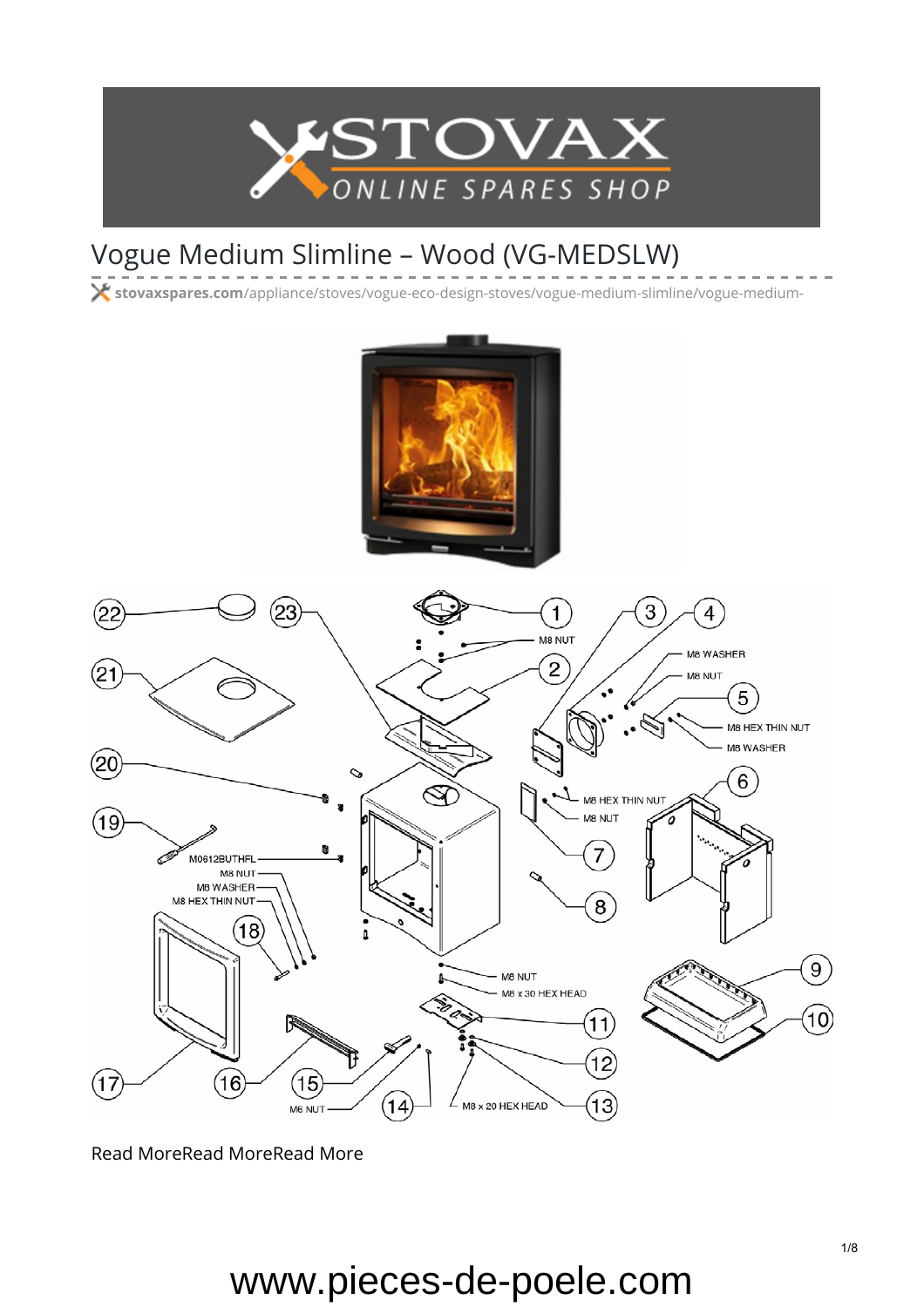

### Vogue Medium Slimline – Wood (VG-MEDSLW)

**stovaxspares.com**[/appliance/stoves/vogue-eco-design-stoves/vogue-medium-slimline/vogue-medium-](https://www.stovaxspares.com/appliance/stoves/vogue-eco-design-stoves/vogue-medium-slimline/vogue-medium-eco-wood-vg-medw-e/)



[Read More](https://www.stovaxspares.com/product/na/)[Read MoreRead More](https://www.stovaxspares.com/product/na-carcass-2/)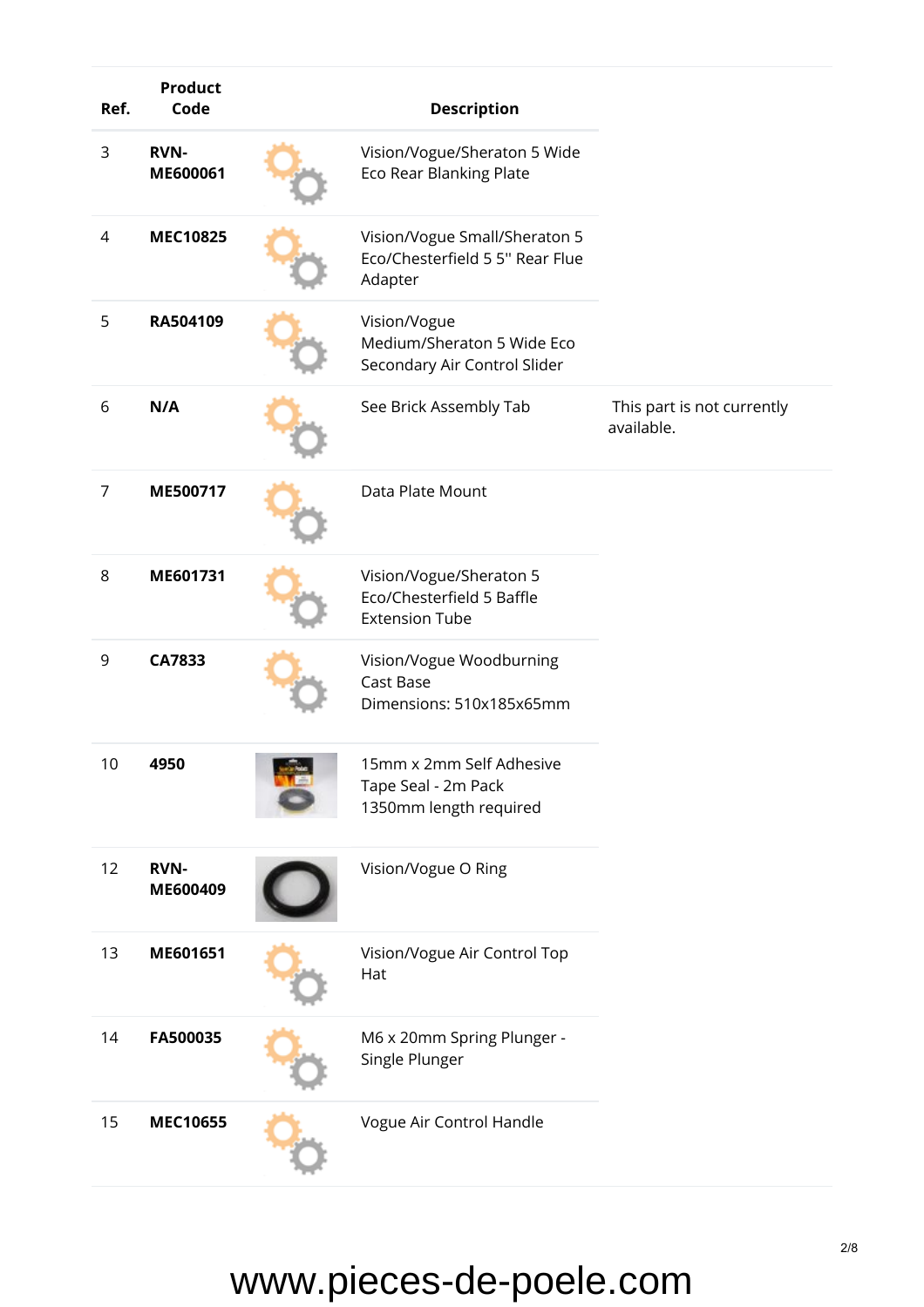| Ref.           | <b>Product</b><br>Code  | <b>Description</b>                                                            |                                          |
|----------------|-------------------------|-------------------------------------------------------------------------------|------------------------------------------|
| 3              | <b>RVN-</b><br>ME600061 | Vision/Vogue/Sheraton 5 Wide<br><b>Eco Rear Blanking Plate</b>                |                                          |
| 4              | <b>MEC10825</b>         | Vision/Vogue Small/Sheraton 5<br>Eco/Chesterfield 5 5" Rear Flue<br>Adapter   |                                          |
| 5              | RA504109                | Vision/Vogue<br>Medium/Sheraton 5 Wide Eco<br>Secondary Air Control Slider    |                                          |
| 6              | N/A                     | See Brick Assembly Tab                                                        | This part is not currently<br>available. |
| $\overline{7}$ | ME500717                | Data Plate Mount                                                              |                                          |
| 8              | ME601731                | Vision/Vogue/Sheraton 5<br>Eco/Chesterfield 5 Baffle<br><b>Extension Tube</b> |                                          |
| 9              | CA7833                  | Vision/Vogue Woodburning<br>Cast Base<br>Dimensions: 510x185x65mm             |                                          |
| 10             | 4950                    | 15mm x 2mm Self Adhesive<br>Tape Seal - 2m Pack<br>1350mm length required     |                                          |
| 12             | <b>RVN-</b><br>ME600409 | Vision/Vogue O Ring                                                           |                                          |
| 13             | ME601651                | Vision/Vogue Air Control Top<br>Hat                                           |                                          |
| 14             | FA500035                | M6 x 20mm Spring Plunger -<br>Single Plunger                                  |                                          |
| 15             | <b>MEC10655</b>         | Vogue Air Control Handle                                                      |                                          |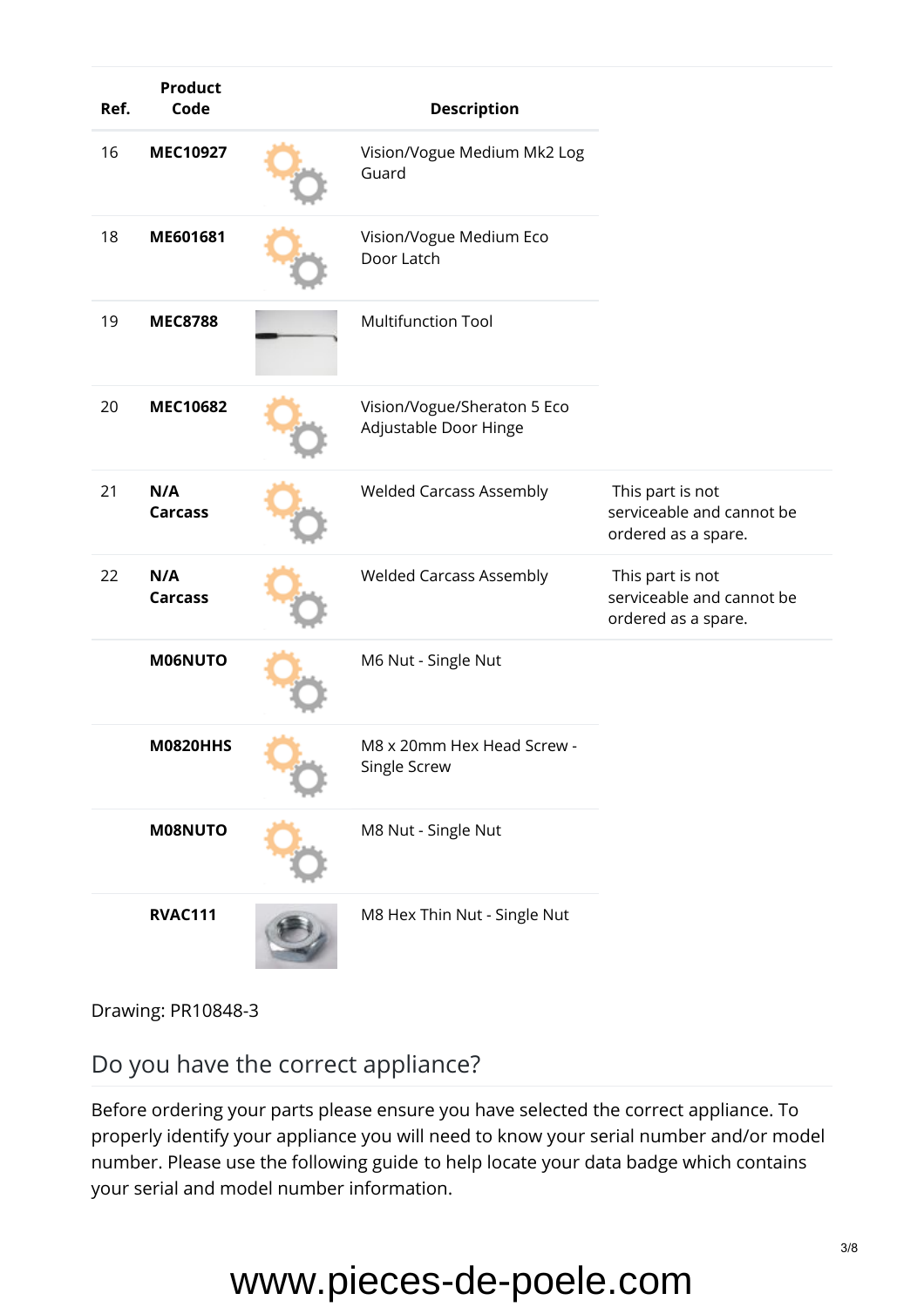| Ref. | <b>Product</b><br>Code | <b>Description</b>                                   |                                                                      |
|------|------------------------|------------------------------------------------------|----------------------------------------------------------------------|
| 16   | <b>MEC10927</b>        | Vision/Vogue Medium Mk2 Log<br>Guard                 |                                                                      |
| 18   | ME601681               | Vision/Vogue Medium Eco<br>Door Latch                |                                                                      |
| 19   | <b>MEC8788</b>         | <b>Multifunction Tool</b>                            |                                                                      |
| 20   | <b>MEC10682</b>        | Vision/Vogue/Sheraton 5 Eco<br>Adjustable Door Hinge |                                                                      |
| 21   | N/A<br><b>Carcass</b>  | <b>Welded Carcass Assembly</b>                       | This part is not<br>serviceable and cannot be<br>ordered as a spare. |
| 22   | N/A<br><b>Carcass</b>  | <b>Welded Carcass Assembly</b>                       | This part is not<br>serviceable and cannot be<br>ordered as a spare. |
|      | M06NUTO                | M6 Nut - Single Nut                                  |                                                                      |
|      | <b>M0820HHS</b>        | M8 x 20mm Hex Head Screw -<br>Single Screw           |                                                                      |
|      | M08NUTO                | M8 Nut - Single Nut                                  |                                                                      |
|      | <b>RVAC111</b>         | M8 Hex Thin Nut - Single Nut                         |                                                                      |

Drawing: PR10848-3

Do you have the correct appliance?

Before ordering your parts please ensure you have selected the correct appliance. To properly identify your appliance you will need to know your serial number and/or model number. Please use the [following guide](https://www.stovaxspares.com/find-your-databadge/) to help locate your data badge which contains your serial and model number information.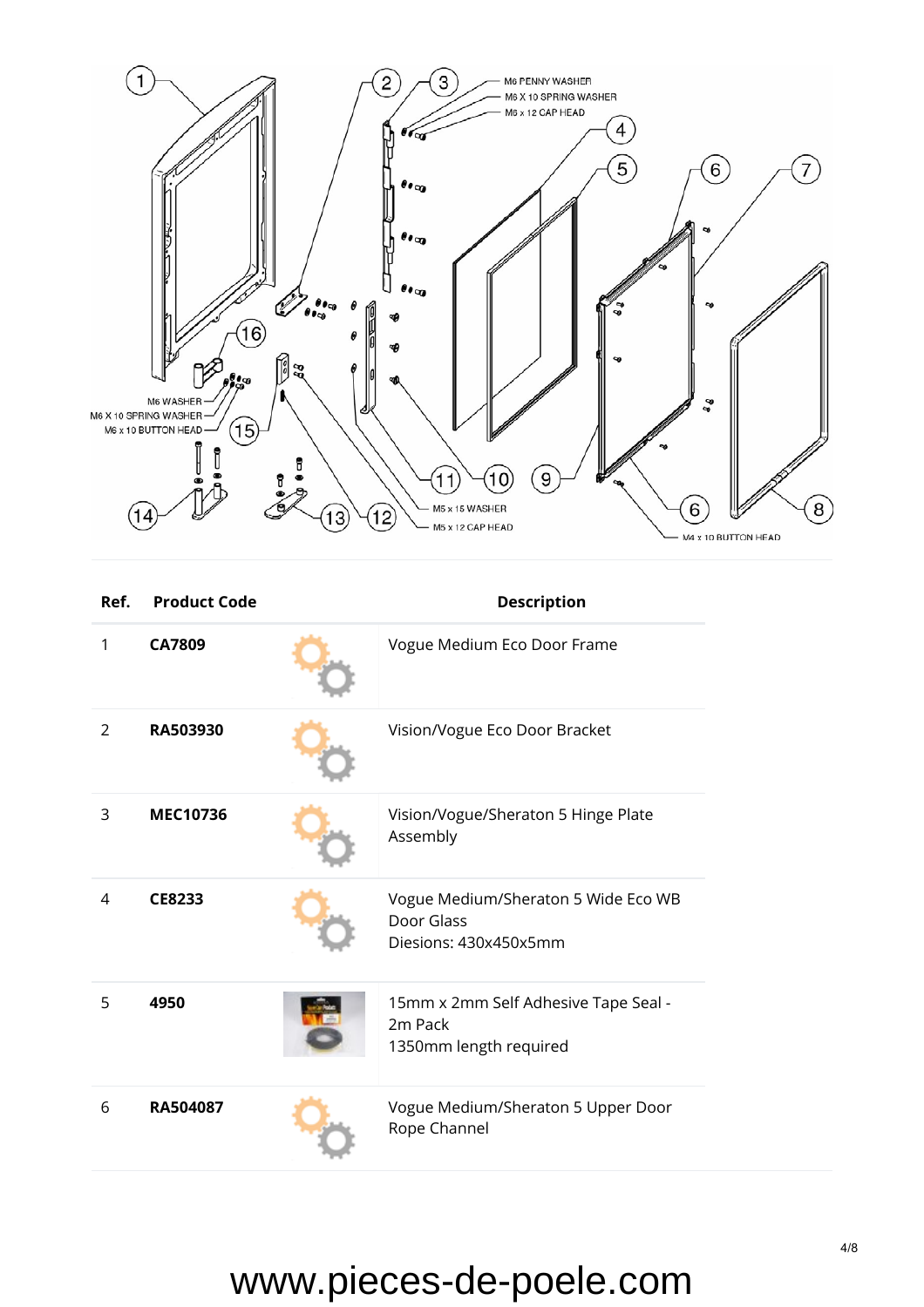

| Ref.         | <b>Product Code</b> | <b>Description</b>                                                         |
|--------------|---------------------|----------------------------------------------------------------------------|
| $\mathbf{1}$ | CA7809              | Vogue Medium Eco Door Frame                                                |
| 2            | RA503930            | Vision/Vogue Eco Door Bracket                                              |
| 3            | <b>MEC10736</b>     | Vision/Vogue/Sheraton 5 Hinge Plate<br>Assembly                            |
| 4            | CE8233              | Vogue Medium/Sheraton 5 Wide Eco WB<br>Door Glass<br>Diesions: 430x450x5mm |
| 5            | 4950                | 15mm x 2mm Self Adhesive Tape Seal -<br>2m Pack<br>1350mm length required  |
| 6            | RA504087            | Vogue Medium/Sheraton 5 Upper Door<br>Rope Channel                         |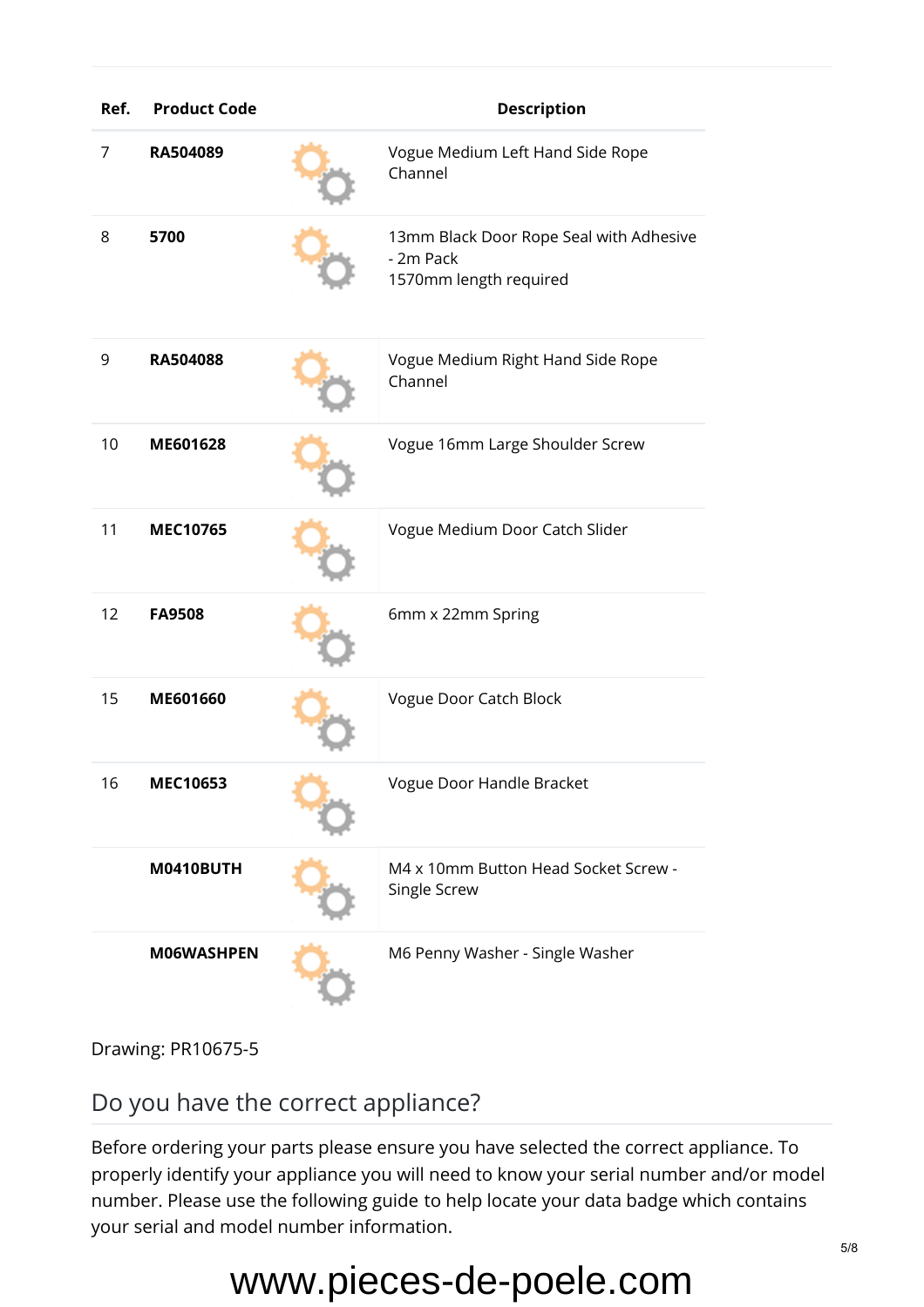| Ref. | <b>Product Code</b> | <b>Description</b> |                                                                                |
|------|---------------------|--------------------|--------------------------------------------------------------------------------|
| 7    | RA504089            |                    | Vogue Medium Left Hand Side Rope<br>Channel                                    |
| 8    | 5700                |                    | 13mm Black Door Rope Seal with Adhesive<br>- 2m Pack<br>1570mm length required |
| 9    | RA504088            |                    | Vogue Medium Right Hand Side Rope<br>Channel                                   |
| 10   | ME601628            |                    | Vogue 16mm Large Shoulder Screw                                                |
| 11   | <b>MEC10765</b>     |                    | Vogue Medium Door Catch Slider                                                 |
| 12   | <b>FA9508</b>       |                    | 6mm x 22mm Spring                                                              |
| 15   | ME601660            |                    | Vogue Door Catch Block                                                         |
| 16   | MEC10653            |                    | Vogue Door Handle Bracket                                                      |
|      | <b>M0410BUTH</b>    |                    | M4 x 10mm Button Head Socket Screw -<br>Single Screw                           |
|      | M06WASHPEN          |                    | M6 Penny Washer - Single Washer                                                |

Drawing: PR10675-5

#### Do you have the correct appliance?

Before ordering your parts please ensure you have selected the correct appliance. To properly identify your appliance you will need to know your serial number and/or model number. Please use the [following guide](https://www.stovaxspares.com/find-your-databadge/) to help locate your data badge which contains your serial and model number information.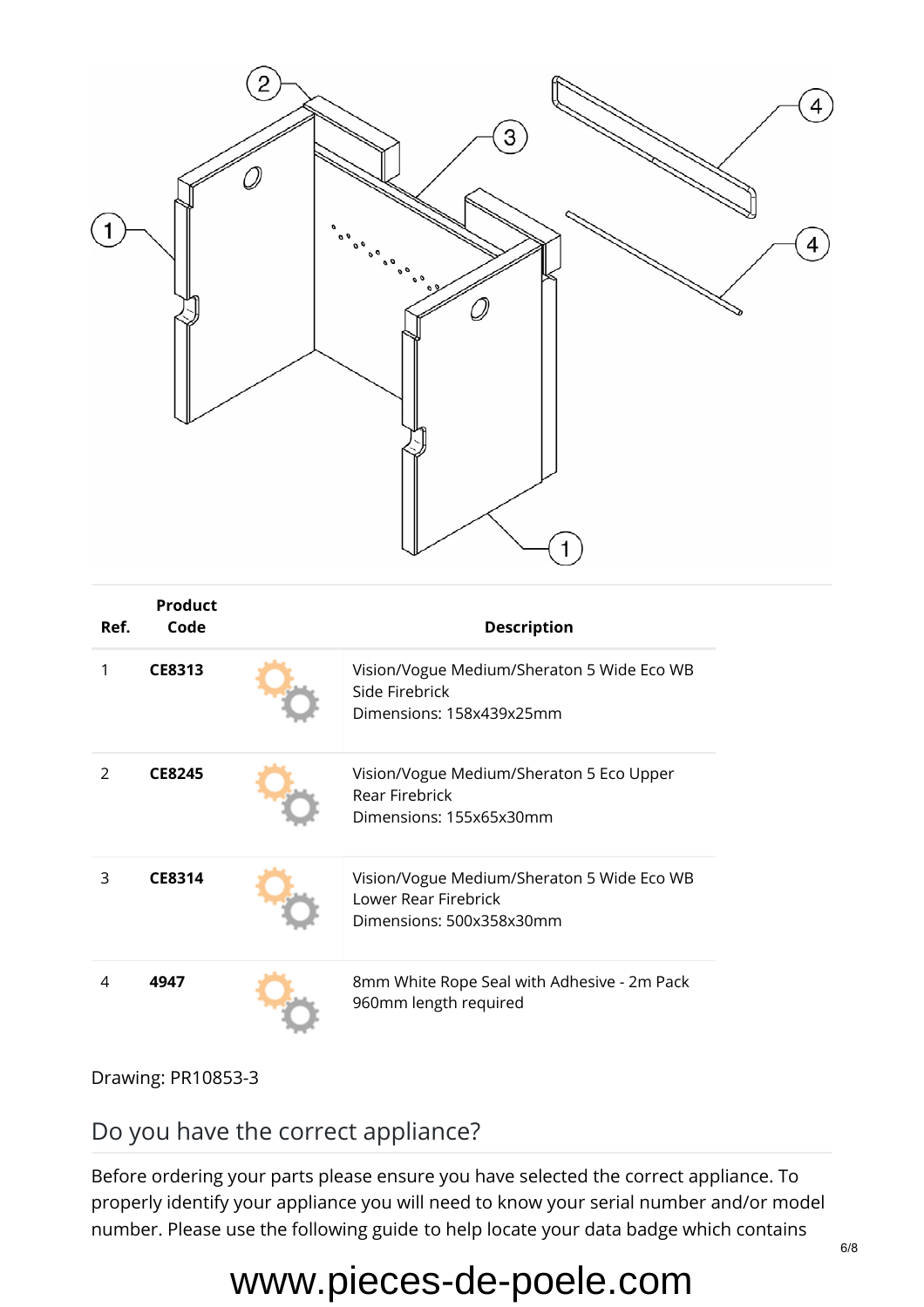

| Ref. | <b>Product</b><br>Code | <b>Description</b> |                                                                                                |  |
|------|------------------------|--------------------|------------------------------------------------------------------------------------------------|--|
| 1    | CE8313                 |                    | Vision/Vogue Medium/Sheraton 5 Wide Eco WB<br>Side Firebrick<br>Dimensions: 158x439x25mm       |  |
| 2    | <b>CE8245</b>          |                    | Vision/Vogue Medium/Sheraton 5 Eco Upper<br><b>Rear Firebrick</b><br>Dimensions: 155x65x30mm   |  |
| 3    | CE8314                 |                    | Vision/Vogue Medium/Sheraton 5 Wide Eco WB<br>Lower Rear Firebrick<br>Dimensions: 500x358x30mm |  |
| 4    | 4947                   |                    | 8mm White Rope Seal with Adhesive - 2m Pack<br>960mm length required                           |  |

Drawing: PR10853-3

#### Do you have the correct appliance?

Before ordering your parts please ensure you have selected the correct appliance. To properly identify your appliance you will need to know your serial number and/or model number. Please use the [following guide](https://www.stovaxspares.com/find-your-databadge/) to help locate your data badge which contains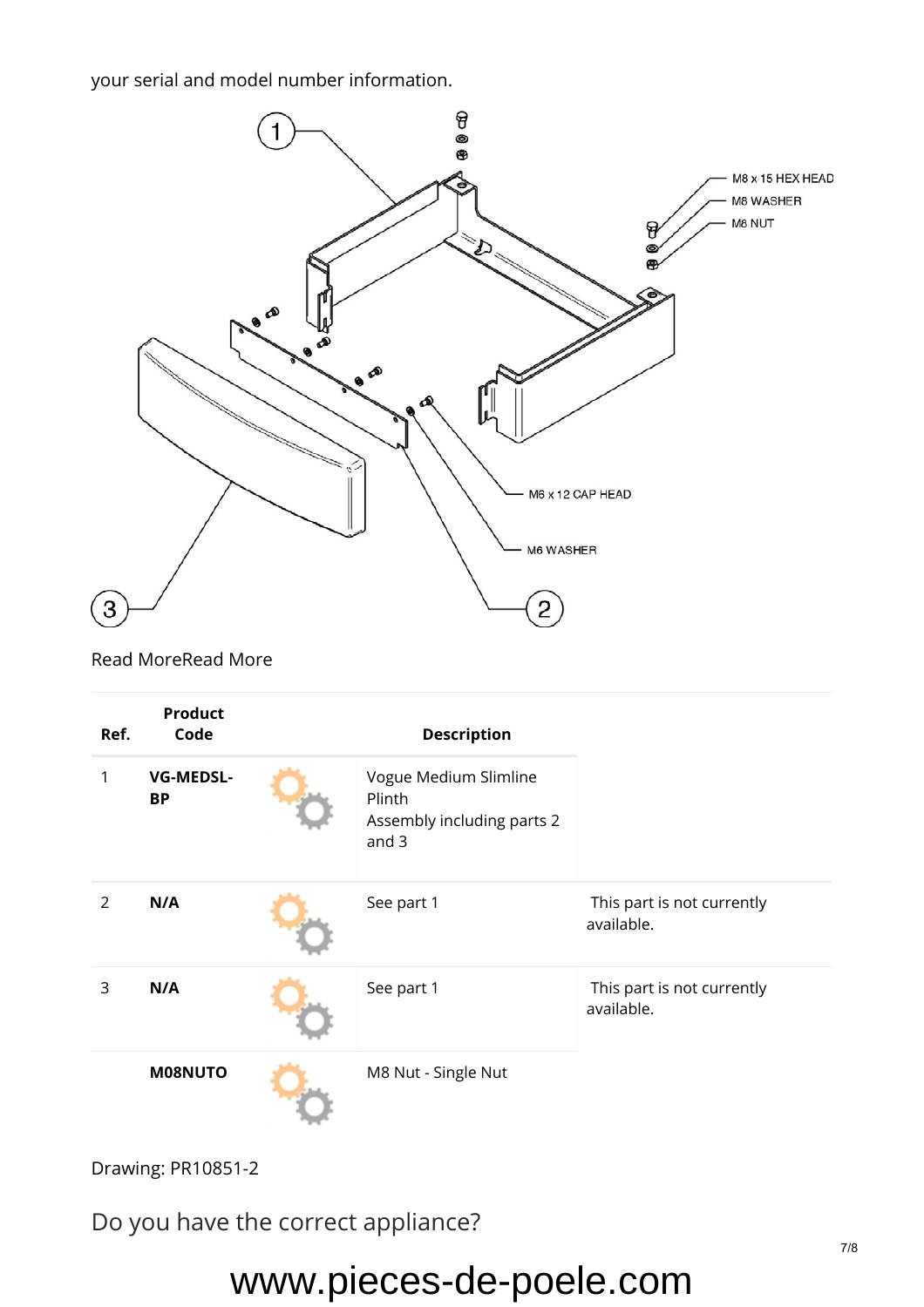your serial and model number information.



[Read MoreRead More](https://www.stovaxspares.com/product/na/)

| Ref.           | <b>Product</b><br>Code        | <b>Description</b>                                                       |                                          |
|----------------|-------------------------------|--------------------------------------------------------------------------|------------------------------------------|
| 1              | <b>VG-MEDSL-</b><br><b>BP</b> | Vogue Medium Slimline<br>Plinth<br>Assembly including parts 2<br>and $3$ |                                          |
| $\overline{2}$ | N/A                           | See part 1                                                               | This part is not currently<br>available. |
| 3              | N/A                           | See part 1                                                               | This part is not currently<br>available. |
|                | M08NUTO                       | M8 Nut - Single Nut                                                      |                                          |

Drawing: PR10851-2

Do you have the correct appliance?